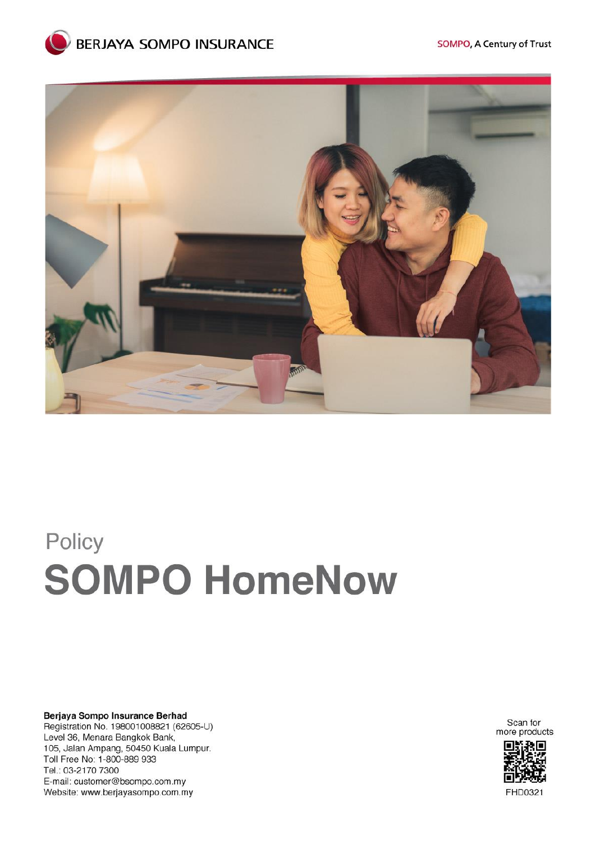



# Policy **SOMPO HomeNow**

Berjaya Sompo Insurance Berhad Registration No. 198001008821 (62605-U) Level 36, Menara Bangkok Bank, 105, Jalan Ampang, 50450 Kuala Lumpur. Toll Free No: 1-800-889 933 Tel.: 03-2170 7300 E-mail: customer@bsompo.com.my Website: www.berjayasompo.com.my

Scan for more products

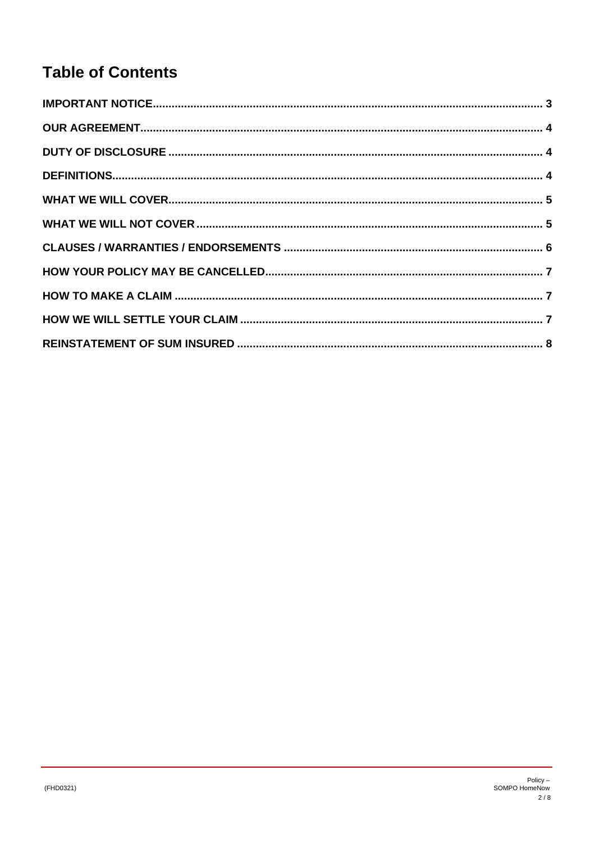# **Table of Contents**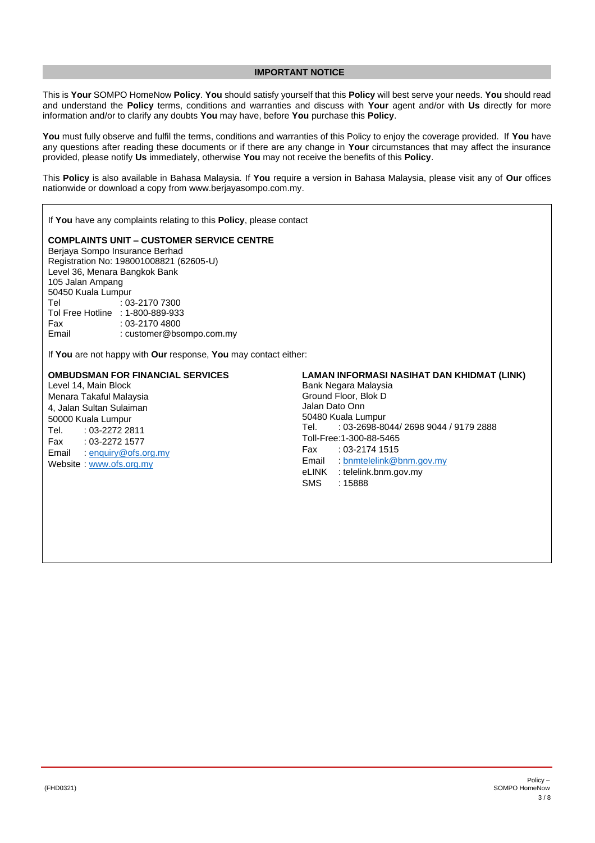# **IMPORTANT NOTICE**

<span id="page-2-0"></span>This is **Your** SOMPO HomeNow **Policy**. **You** should satisfy yourself that this **Policy** will best serve your needs. **You** should read and understand the **Policy** terms, conditions and warranties and discuss with **Your** agent and/or with **Us** directly for more information and/or to clarify any doubts **You** may have, before **You** purchase this **Policy**.

**You** must fully observe and fulfil the terms, conditions and warranties of this Policy to enjoy the coverage provided. If **You** have any questions after reading these documents or if there are any change in **Your** circumstances that may affect the insurance provided, please notify **Us** immediately, otherwise **You** may not receive the benefits of this **Policy**.

This **Policy** is also available in Bahasa Malaysia. If **You** require a version in Bahasa Malaysia, please visit any of **Our** offices nationwide or download a copy from www.berjayasompo.com.my.

If **You** have any complaints relating to this **Policy**, please contact

### **COMPLAINTS UNIT – CUSTOMER SERVICE CENTRE**

Berjaya Sompo Insurance Berhad Registration No: 198001008821 (62605-U) Level 36, Menara Bangkok Bank 105 Jalan Ampang 50450 Kuala Lumpur<br>10:  $: 03 - 21707300$ Tol Free Hotline : 1-800-889-933 Fax : 03-2170 4800<br>
Fmail : customer@bso : customer@bsompo.com.my

If **You** are not happy with **Our** response, **You** may contact either:

# **OMBUDSMAN FOR FINANCIAL SERVICES**

Level 14, Main Block Menara Takaful Malaysia 4, Jalan Sultan Sulaiman 50000 Kuala Lumpur Tel. : 03-2272 2811 Fax : 03-2272 1577 Email : [enquiry@ofs.org.my](mailto:enquiry@ofs.org.my) Website : [www.ofs.org.my](http://www.ofs.org.my/)

# **LAMAN INFORMASI NASIHAT DAN KHIDMAT (LINK)**

Bank Negara Malaysia Ground Floor, Blok D Jalan Dato Onn 50480 Kuala Lumpur<br>Tel. : 03-2698-80 Tel. : 03-2698-8044/ 2698 9044 / 9179 2888 Toll-Free:1-300-88-5465 Fax : 03-2174 1515 Email : [bnmtelelink@bnm.gov.my](mailto:bnmtelelink@bnm.gov.my) eLINK : telelink.bnm.gov.my SMS : 15888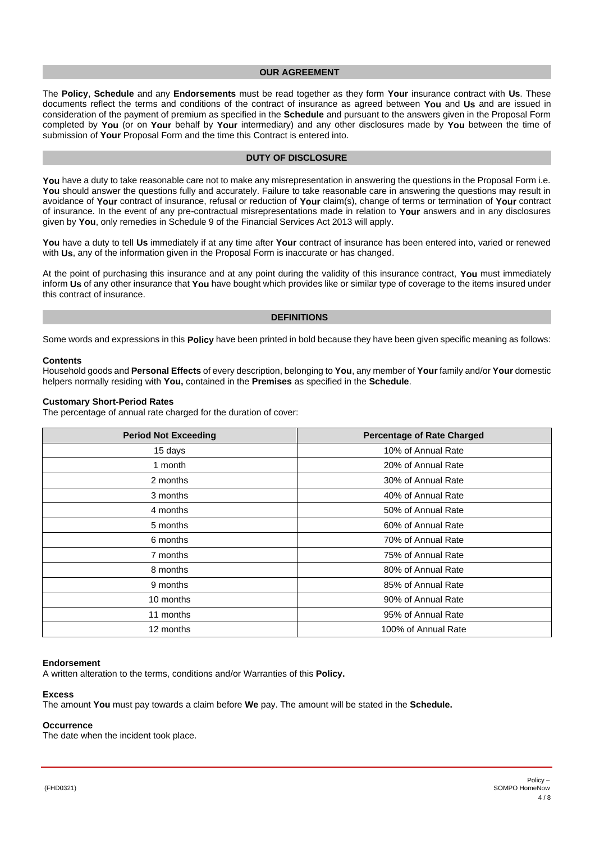# **OUR AGREEMENT**

<span id="page-3-0"></span>The **Policy**, **Schedule** and any **Endorsements** must be read together as they form **Your** insurance contract with **Us**. These documents reflect the terms and conditions of the contract of insurance as agreed between **You** and **Us** and are issued in consideration of the payment of premium as specified in the **Schedule** and pursuant to the answers given in the Proposal Form completed by **You** (or on **Your** behalf by **Your** intermediary) and any other disclosures made by **You** between the time of submission of **Your** Proposal Form and the time this Contract is entered into.

# **DUTY OF DISCLOSURE**

You have a duty to take reasonable care not to make any misrepresentation in answering the questions in the Proposal Form i.e. You should answer the questions fully and accurately. Failure to take reasonable care in answering the questions may result in avoidance of **Your** contract of insurance, refusal or reduction of **Your** claim(s), change of terms or termination of **Your** contract of insurance. In the event of any pre-contractual misrepresentations made in relation to **Your** answers and in any disclosures given by **You**, only remedies in Schedule 9 of the Financial Services Act 2013 will apply.

**You** have a duty to tell **Us** immediately if at any time after **Your** contract of insurance has been entered into, varied or renewed with **Us**, any of the information given in the Proposal Form is inaccurate or has changed.

At the point of purchasing this insurance and at any point during the validity of this insurance contract, **You** must immediately inform **Us** of any other insurance that **You** have bought which provides like or similar type of coverage to the items insured under this contract of insurance.

### **DEFINITIONS**

<span id="page-3-1"></span>Some words and expressions in this **Policy** have been printed in bold because they have been given specific meaning as follows:

#### **Contents**

Household goods and **Personal Effects** of every description, belonging to **You**, any member of **Your** family and/or **Your** domestic helpers normally residing with **You,** contained in the **Premises** as specified in the **Schedule**.

#### **Customary Short-Period Rates**

The percentage of annual rate charged for the duration of cover:

| <b>Period Not Exceeding</b> | <b>Percentage of Rate Charged</b> |
|-----------------------------|-----------------------------------|
| 15 days                     | 10% of Annual Rate                |
| 1 month                     | 20% of Annual Rate                |
| 2 months                    | 30% of Annual Rate                |
| 3 months                    | 40% of Annual Rate                |
| 4 months                    | 50% of Annual Rate                |
| 5 months                    | 60% of Annual Rate                |
| 6 months                    | 70% of Annual Rate                |
| 7 months                    | 75% of Annual Rate                |
| 8 months                    | 80% of Annual Rate                |
| 9 months                    | 85% of Annual Rate                |
| 10 months                   | 90% of Annual Rate                |
| 11 months                   | 95% of Annual Rate                |
| 12 months                   | 100% of Annual Rate               |

#### **Endorsement**

A written alteration to the terms, conditions and/or Warranties of this **Policy.**

#### **Excess**

The amount **You** must pay towards a claim before **We** pay. The amount will be stated in the **Schedule.**

# **Occurrence**

The date when the incident took place.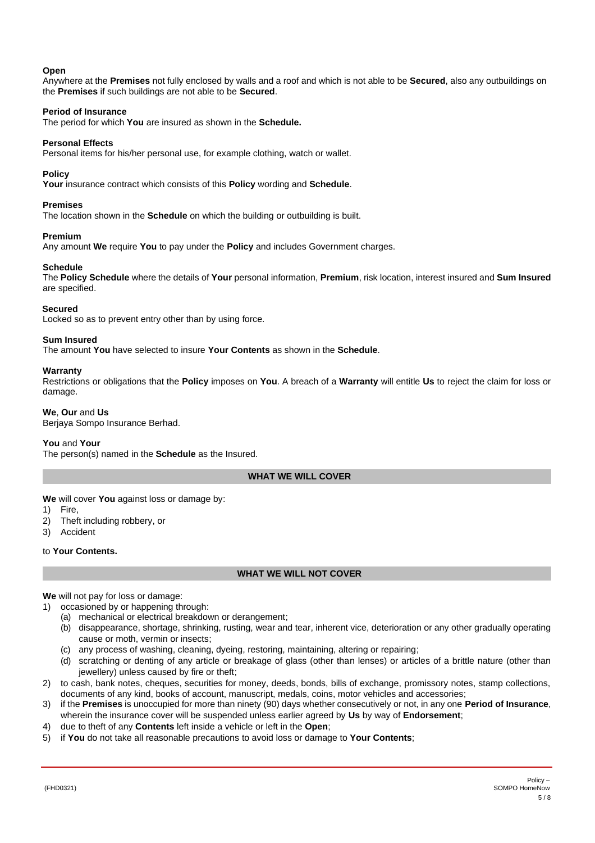# **Open**

Anywhere at the **Premises** not fully enclosed by walls and a roof and which is not able to be **Secured**, also any outbuildings on the **Premises** if such buildings are not able to be **Secured**.

# **Period of Insurance**

The period for which **You** are insured as shown in the **Schedule.**

# **Personal Effects**

Personal items for his/her personal use, for example clothing, watch or wallet.

# **Policy**

**Your** insurance contract which consists of this **Policy** wording and **Schedule**.

# **Premises**

The location shown in the **Schedule** on which the building or outbuilding is built.

#### **Premium**

Any amount **We** require **You** to pay under the **Policy** and includes Government charges.

# **Schedule**

The **Policy Schedule** where the details of **Your** personal information, **Premium**, risk location, interest insured and **Sum Insured** are specified.

#### **Secured**

Locked so as to prevent entry other than by using force.

#### **Sum Insured**

The amount **You** have selected to insure **Your Contents** as shown in the **Schedule**.

#### **Warranty**

Restrictions or obligations that the **Policy** imposes on **You**. A breach of a **Warranty** will entitle **Us** to reject the claim for loss or damage.

#### **We**, **Our** and **Us**

Berjaya Sompo Insurance Berhad.

# **You** and **Your**

The person(s) named in the **Schedule** as the Insured.

# **WHAT WE WILL COVER**

<span id="page-4-0"></span>**We** will cover **You** against loss or damage by:

- 1) Fire,
- 2) Theft including robbery, or
- 3) Accident

### <span id="page-4-1"></span>to **Your Contents.**

# **WHAT WE WILL NOT COVER**

**We** will not pay for loss or damage:

- 1) occasioned by or happening through:
	- (a) mechanical or electrical breakdown or derangement;
	- (b) disappearance, shortage, shrinking, rusting, wear and tear, inherent vice, deterioration or any other gradually operating cause or moth, vermin or insects;
	- (c) any process of washing, cleaning, dyeing, restoring, maintaining, altering or repairing;
	- (d) scratching or denting of any article or breakage of glass (other than lenses) or articles of a brittle nature (other than jewellery) unless caused by fire or theft;
- 2) to cash, bank notes, cheques, securities for money, deeds, bonds, bills of exchange, promissory notes, stamp collections, documents of any kind, books of account, manuscript, medals, coins, motor vehicles and accessories;
- 3) if the **Premises** is unoccupied for more than ninety (90) days whether consecutively or not, in any one **Period of Insurance**, wherein the insurance cover will be suspended unless earlier agreed by **Us** by way of **Endorsement**;
- 4) due to theft of any **Contents** left inside a vehicle or left in the **Open**;
- 5) if **You** do not take all reasonable precautions to avoid loss or damage to **Your Contents**;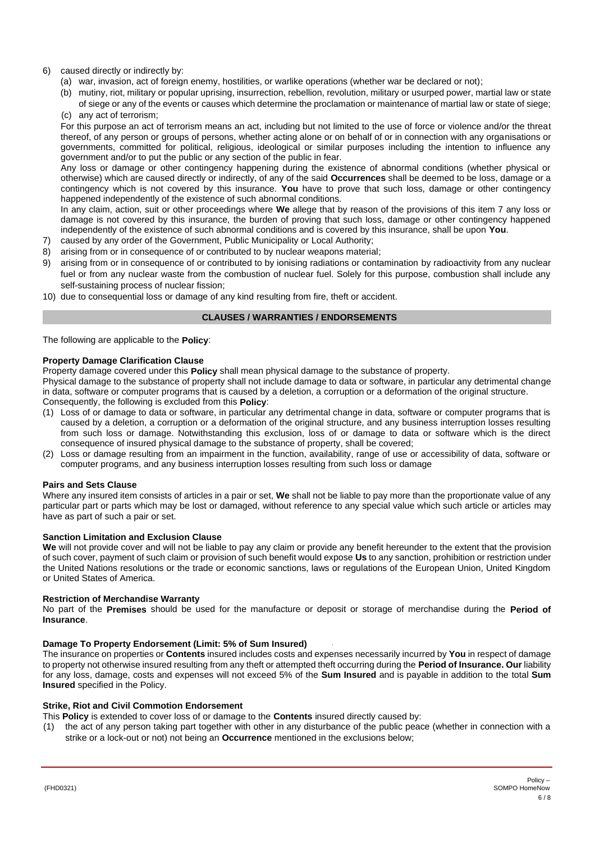# 6) caused directly or indirectly by:

- (a) war, invasion, act of foreign enemy, hostilities, or warlike operations (whether war be declared or not);
- (b) mutiny, riot, military or popular uprising, insurrection, rebellion, revolution, military or usurped power, martial law or state of siege or any of the events or causes which determine the proclamation or maintenance of martial law or state of siege;
- (c) any act of terrorism;

For this purpose an act of terrorism means an act, including but not limited to the use of force or violence and/or the threat thereof, of any person or groups of persons, whether acting alone or on behalf of or in connection with any organisations or governments, committed for political, religious, ideological or similar purposes including the intention to influence any government and/or to put the public or any section of the public in fear.

Any loss or damage or other contingency happening during the existence of abnormal conditions (whether physical or otherwise) which are caused directly or indirectly, of any of the said **Occurrences** shall be deemed to be loss, damage or a contingency which is not covered by this insurance. **You** have to prove that such loss, damage or other contingency happened independently of the existence of such abnormal conditions.

In any claim, action, suit or other proceedings where **We** allege that by reason of the provisions of this item 7 any loss or damage is not covered by this insurance, the burden of proving that such loss, damage or other contingency happened independently of the existence of such abnormal conditions and is covered by this insurance, shall be upon **You**.

- 7) caused by any order of the Government, Public Municipality or Local Authority;
- 8) arising from or in consequence of or contributed to by nuclear weapons material;
- 9) arising from or in consequence of or contributed to by ionising radiations or contamination by radioactivity from any nuclear fuel or from any nuclear waste from the combustion of nuclear fuel. Solely for this purpose, combustion shall include any self-sustaining process of nuclear fission;
- <span id="page-5-0"></span>10) due to consequential loss or damage of any kind resulting from fire, theft or accident.

# **CLAUSES / WARRANTIES / ENDORSEMENTS**

The following are applicable to the **Policy**:

# **Property Damage Clarification Clause**

Property damage covered under this **Policy** shall mean physical damage to the substance of property.

Physical damage to the substance of property shall not include damage to data or software, in particular any detrimental change in data, software or computer programs that is caused by a deletion, a corruption or a deformation of the original structure. Consequently, the following is excluded from this **Policy**:

- (1) Loss of or damage to data or software, in particular any detrimental change in data, software or computer programs that is caused by a deletion, a corruption or a deformation of the original structure, and any business interruption losses resulting from such loss or damage. Notwithstanding this exclusion, loss of or damage to data or software which is the direct consequence of insured physical damage to the substance of property, shall be covered;
- (2) Loss or damage resulting from an impairment in the function, availability, range of use or accessibility of data, software or computer programs, and any business interruption losses resulting from such loss or damage

#### **Pairs and Sets Clause**

Where any insured item consists of articles in a pair or set, **We** shall not be liable to pay more than the proportionate value of any particular part or parts which may be lost or damaged, without reference to any special value which such article or articles may have as part of such a pair or set.

# **Sanction Limitation and Exclusion Clause**

**We** will not provide cover and will not be liable to pay any claim or provide any benefit hereunder to the extent that the provision of such cover, payment of such claim or provision of such benefit would expose **Us** to any sanction, prohibition or restriction under the United Nations resolutions or the trade or economic sanctions, laws or regulations of the European Union, United Kingdom or United States of America.

# **Restriction of Merchandise Warranty**

No part of the **Premises** should be used for the manufacture or deposit or storage of merchandise during the **Period of Insurance**.

# **Damage To Property Endorsement (Limit: 5% of Sum Insured)**

The insurance on properties or **Contents** insured includes costs and expenses necessarily incurred by **You** in respect of damage to property not otherwise insured resulting from any theft or attempted theft occurring during the **Period of Insurance. Our** liability for any loss, damage, costs and expenses will not exceed 5% of the **Sum Insured** and is payable in addition to the total **Sum Insured** specified in the Policy.

# **Strike, Riot and Civil Commotion Endorsement**

This **Policy** is extended to cover loss of or damage to the **Contents** insured directly caused by:

(1) the act of any person taking part together with other in any disturbance of the public peace (whether in connection with a strike or a lock-out or not) not being an **Occurrence** mentioned in the exclusions below;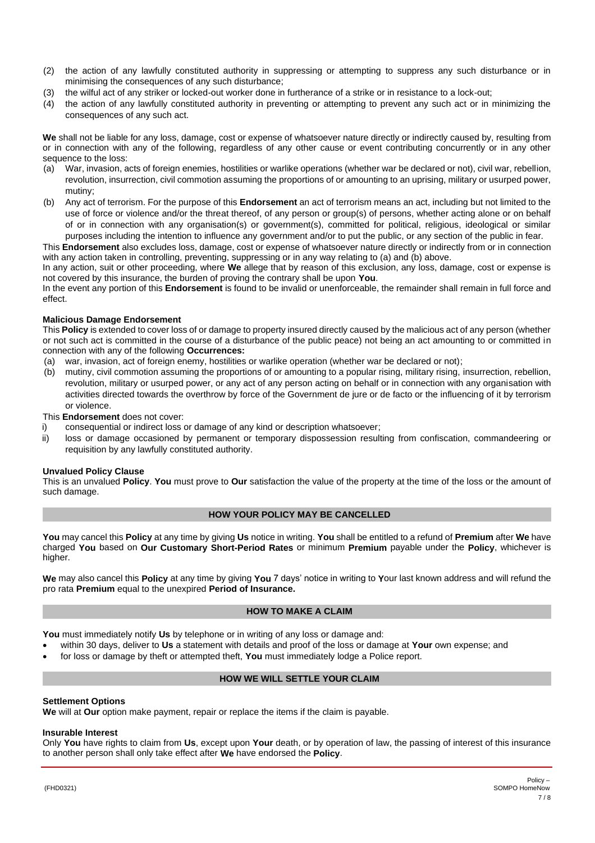- (2) the action of any lawfully constituted authority in suppressing or attempting to suppress any such disturbance or in minimising the consequences of any such disturbance;
- (3) the wilful act of any striker or locked-out worker done in furtherance of a strike or in resistance to a lock-out;
- (4) the action of any lawfully constituted authority in preventing or attempting to prevent any such act or in minimizing the consequences of any such act.

**We** shall not be liable for any loss, damage, cost or expense of whatsoever nature directly or indirectly caused by, resulting from or in connection with any of the following, regardless of any other cause or event contributing concurrently or in any other sequence to the loss:

- (a) War, invasion, acts of foreign enemies, hostilities or warlike operations (whether war be declared or not), civil war, rebellion, revolution, insurrection, civil commotion assuming the proportions of or amounting to an uprising, military or usurped power, mutiny;
- (b) Any act of terrorism. For the purpose of this **Endorsement** an act of terrorism means an act, including but not limited to the use of force or violence and/or the threat thereof, of any person or group(s) of persons, whether acting alone or on behalf of or in connection with any organisation(s) or government(s), committed for political, religious, ideological or similar purposes including the intention to influence any government and/or to put the public, or any section of the public in fear.

This **Endorsement** also excludes loss, damage, cost or expense of whatsoever nature directly or indirectly from or in connection with any action taken in controlling, preventing, suppressing or in any way relating to (a) and (b) above.

In any action, suit or other proceeding, where **We** allege that by reason of this exclusion, any loss, damage, cost or expense is not covered by this insurance, the burden of proving the contrary shall be upon **You**.

In the event any portion of this **Endorsement** is found to be invalid or unenforceable, the remainder shall remain in full force and effect.

# **Malicious Damage Endorsement**

This **Policy** is extended to cover loss of or damage to property insured directly caused by the malicious act of any person (whether or not such act is committed in the course of a disturbance of the public peace) not being an act amounting to or committed in connection with any of the following **Occurrences:**

- (a) war, invasion, act of foreign enemy, hostilities or warlike operation (whether war be declared or not);
- (b) mutiny, civil commotion assuming the proportions of or amounting to a popular rising, military rising, insurrection, rebellion, revolution, military or usurped power, or any act of any person acting on behalf or in connection with any organisation with activities directed towards the overthrow by force of the Government de jure or de facto or the influencing of it by terrorism or violence.

This **Endorsement** does not cover:

- i) consequential or indirect loss or damage of any kind or description whatsoever;
- ii) loss or damage occasioned by permanent or temporary dispossession resulting from confiscation, commandeering or requisition by any lawfully constituted authority.

#### **Unvalued Policy Clause**

This is an unvalued **Policy**. **You** must prove to **Our** satisfaction the value of the property at the time of the loss or the amount of such damage.

# **HOW YOUR POLICY MAY BE CANCELLED**

<span id="page-6-0"></span>**You** may cancel this **Policy** at any time by giving **Us** notice in writing. **You** shall be entitled to a refund of **Premium** after **We** have charged **You** based on **Our Customary Short-Period Rates** or minimum **Premium** payable under the **Policy**, whichever is higher.

**We** may also cancel this **Policy** at any time by giving **You** 7 days' notice in writing to **Y**our last known address and will refund the pro rata **Premium** equal to the unexpired **Period of Insurance.**

# **HOW TO MAKE A CLAIM**

<span id="page-6-1"></span>**You** must immediately notify **Us** by telephone or in writing of any loss or damage and:

- within 30 days, deliver to **Us** a statement with details and proof of the loss or damage at **Your** own expense; and
- <span id="page-6-2"></span>• for loss or damage by theft or attempted theft, **You** must immediately lodge a Police report.

# **HOW WE WILL SETTLE YOUR CLAIM**

#### **Settlement Options**

**We** will at **Our** option make payment, repair or replace the items if the claim is payable.

#### **Insurable Interest**

Only **You** have rights to claim from **Us**, except upon **Your** death, or by operation of law, the passing of interest of this insurance to another person shall only take effect after **We** have endorsed the **Policy**.